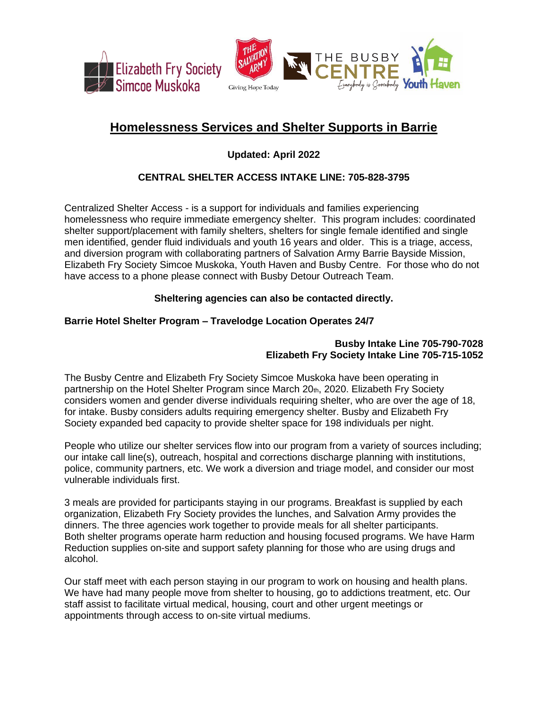



# **Homelessness Services and Shelter Supports in Barrie**

**Updated: April 2022**

# **CENTRAL SHELTER ACCESS INTAKE LINE: 705-828-3795**

Centralized Shelter Access - is a support for individuals and families experiencing homelessness who require immediate emergency shelter. This program includes: coordinated shelter support/placement with family shelters, shelters for single female identified and single men identified, gender fluid individuals and youth 16 years and older. This is a triage, access, and diversion program with collaborating partners of Salvation Army Barrie Bayside Mission, Elizabeth Fry Society Simcoe Muskoka, Youth Haven and Busby Centre. For those who do not have access to a phone please connect with Busby Detour Outreach Team.

# **Sheltering agencies can also be contacted directly.**

# **Barrie Hotel Shelter Program – Travelodge Location Operates 24/7**

### **Busby Intake Line 705-790-7028 Elizabeth Fry Society Intake Line 705-715-1052**

The Busby Centre and Elizabeth Fry Society Simcoe Muskoka have been operating in partnership on the Hotel Shelter Program since March 20th, 2020. Elizabeth Fry Society considers women and gender diverse individuals requiring shelter, who are over the age of 18, for intake. Busby considers adults requiring emergency shelter. Busby and Elizabeth Fry Society expanded bed capacity to provide shelter space for 198 individuals per night.

People who utilize our shelter services flow into our program from a variety of sources including; our intake call line(s), outreach, hospital and corrections discharge planning with institutions, police, community partners, etc. We work a diversion and triage model, and consider our most vulnerable individuals first.

3 meals are provided for participants staying in our programs. Breakfast is supplied by each organization, Elizabeth Fry Society provides the lunches, and Salvation Army provides the dinners. The three agencies work together to provide meals for all shelter participants. Both shelter programs operate harm reduction and housing focused programs. We have Harm Reduction supplies on-site and support safety planning for those who are using drugs and alcohol.

Our staff meet with each person staying in our program to work on housing and health plans. We have had many people move from shelter to housing, go to addictions treatment, etc. Our staff assist to facilitate virtual medical, housing, court and other urgent meetings or appointments through access to on-site virtual mediums.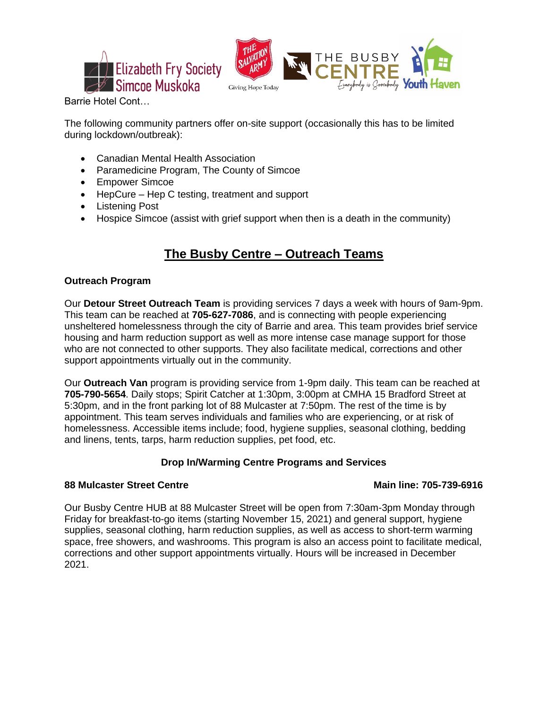



Barrie Hotel Cont…

The following community partners offer on-site support (occasionally this has to be limited during lockdown/outbreak):

- Canadian Mental Health Association
- Paramedicine Program, The County of Simcoe
- Empower Simcoe
- HepCure Hep C testing, treatment and support
- Listening Post
- Hospice Simcoe (assist with grief support when then is a death in the community)

# **The Busby Centre – Outreach Teams**

## **Outreach Program**

Our **Detour Street Outreach Team** is providing services 7 days a week with hours of 9am-9pm. This team can be reached at **705-627-7086**, and is connecting with people experiencing unsheltered homelessness through the city of Barrie and area. This team provides brief service housing and harm reduction support as well as more intense case manage support for those who are not connected to other supports. They also facilitate medical, corrections and other support appointments virtually out in the community.

Our **Outreach Van** program is providing service from 1-9pm daily. This team can be reached at **705-790-5654**. Daily stops; Spirit Catcher at 1:30pm, 3:00pm at CMHA 15 Bradford Street at 5:30pm, and in the front parking lot of 88 Mulcaster at 7:50pm. The rest of the time is by appointment. This team serves individuals and families who are experiencing, or at risk of homelessness. Accessible items include; food, hygiene supplies, seasonal clothing, bedding and linens, tents, tarps, harm reduction supplies, pet food, etc.

# **Drop In/Warming Centre Programs and Services**

## **88 Mulcaster Street Centre Main line: 705-739-6916**

Our Busby Centre HUB at 88 Mulcaster Street will be open from 7:30am-3pm Monday through Friday for breakfast-to-go items (starting November 15, 2021) and general support, hygiene supplies, seasonal clothing, harm reduction supplies, as well as access to short-term warming space, free showers, and washrooms. This program is also an access point to facilitate medical, corrections and other support appointments virtually. Hours will be increased in December 2021.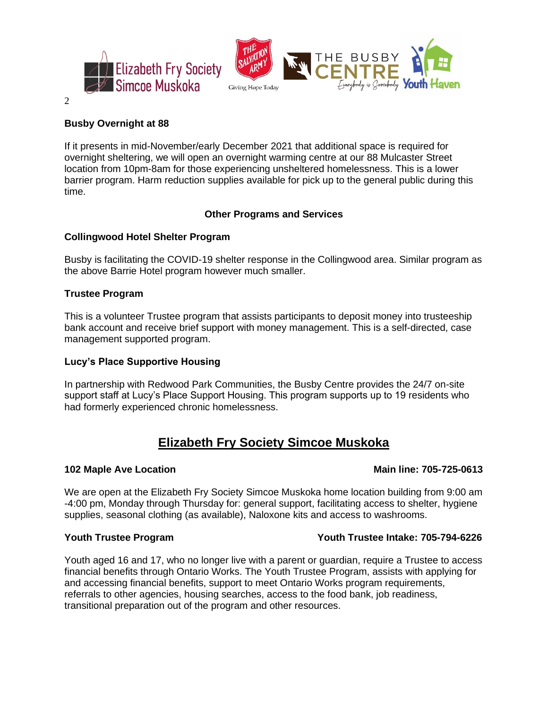

# 2

## **Busby Overnight at 88**

If it presents in mid-November/early December 2021 that additional space is required for overnight sheltering, we will open an overnight warming centre at our 88 Mulcaster Street location from 10pm-8am for those experiencing unsheltered homelessness. This is a lower barrier program. Harm reduction supplies available for pick up to the general public during this time.

### **Other Programs and Services**

### **Collingwood Hotel Shelter Program**

Busby is facilitating the COVID-19 shelter response in the Collingwood area. Similar program as the above Barrie Hotel program however much smaller.

### **Trustee Program**

This is a volunteer Trustee program that assists participants to deposit money into trusteeship bank account and receive brief support with money management. This is a self-directed, case management supported program.

### **Lucy's Place Supportive Housing**

In partnership with Redwood Park Communities, the Busby Centre provides the 24/7 on-site support staff at Lucy's Place Support Housing. This program supports up to 19 residents who had formerly experienced chronic homelessness.

# **Elizabeth Fry Society Simcoe Muskoka**

We are open at the Elizabeth Fry Society Simcoe Muskoka home location building from 9:00 am -4:00 pm, Monday through Thursday for: general support, facilitating access to shelter, hygiene supplies, seasonal clothing (as available), Naloxone kits and access to washrooms.

### **Youth Trustee Program Youth Trustee Intake: 705-794-6226**

Youth aged 16 and 17, who no longer live with a parent or guardian, require a Trustee to access financial benefits through Ontario Works. The Youth Trustee Program, assists with applying for and accessing financial benefits, support to meet Ontario Works program requirements, referrals to other agencies, housing searches, access to the food bank, job readiness, transitional preparation out of the program and other resources.

## **102 Maple Ave Location Main line: 705-725-0613**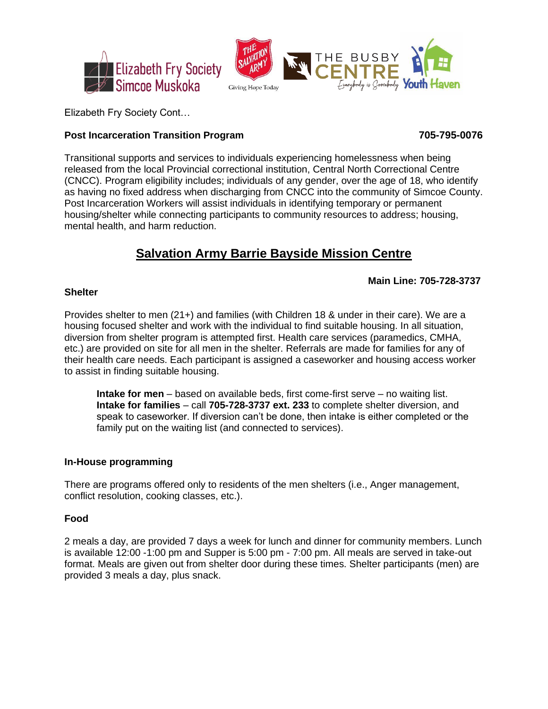



Elizabeth Fry Society Cont…

# **Post Incarceration Transition Program 705-795-0076**

Transitional supports and services to individuals experiencing homelessness when being released from the local Provincial correctional institution, Central North Correctional Centre (CNCC). Program eligibility includes; individuals of any gender, over the age of 18, who identify as having no fixed address when discharging from CNCC into the community of Simcoe County. Post Incarceration Workers will assist individuals in identifying temporary or permanent housing/shelter while connecting participants to community resources to address; housing, mental health, and harm reduction.

# **Salvation Army Barrie Bayside Mission Centre**

# **Main Line: 705-728-3737**

## **Shelter**

Provides shelter to men (21+) and families (with Children 18 & under in their care). We are a housing focused shelter and work with the individual to find suitable housing. In all situation, diversion from shelter program is attempted first. Health care services (paramedics, CMHA, etc.) are provided on site for all men in the shelter. Referrals are made for families for any of their health care needs. Each participant is assigned a caseworker and housing access worker to assist in finding suitable housing.

**Intake for men** – based on available beds, first come-first serve – no waiting list. **Intake for families** – call **705-728-3737 ext. 233** to complete shelter diversion, and speak to caseworker. If diversion can't be done, then intake is either completed or the family put on the waiting list (and connected to services).

# **In-House programming**

There are programs offered only to residents of the men shelters (i.e., Anger management, conflict resolution, cooking classes, etc.).

# **Food**

2 meals a day, are provided 7 days a week for lunch and dinner for community members. Lunch is available 12:00 -1:00 pm and Supper is 5:00 pm - 7:00 pm. All meals are served in take-out format. Meals are given out from shelter door during these times. Shelter participants (men) are provided 3 meals a day, plus snack.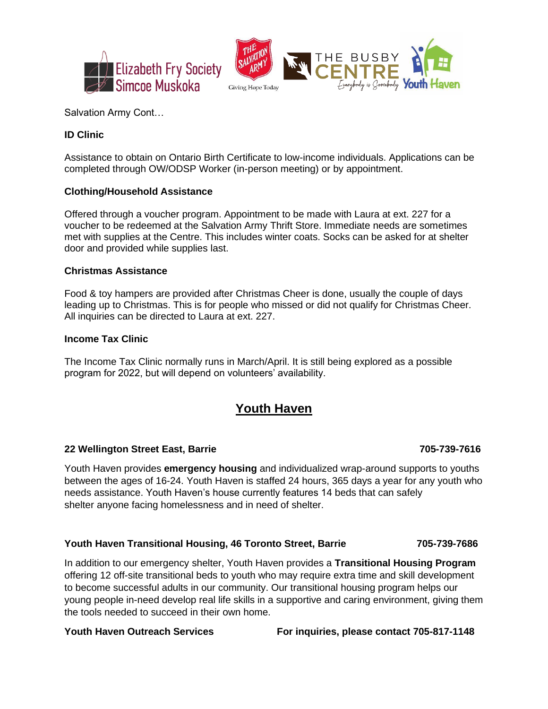

Salvation Army Cont…

# **ID Clinic**

Assistance to obtain on Ontario Birth Certificate to low-income individuals. Applications can be completed through OW/ODSP Worker (in-person meeting) or by appointment.

### **Clothing/Household Assistance**

Offered through a voucher program. Appointment to be made with Laura at ext. 227 for a voucher to be redeemed at the Salvation Army Thrift Store. Immediate needs are sometimes met with supplies at the Centre. This includes winter coats. Socks can be asked for at shelter door and provided while supplies last.

### **Christmas Assistance**

Food & toy hampers are provided after Christmas Cheer is done, usually the couple of days leading up to Christmas. This is for people who missed or did not qualify for Christmas Cheer. All inquiries can be directed to Laura at ext. 227.

### **Income Tax Clinic**

The Income Tax Clinic normally runs in March/April. It is still being explored as a possible program for 2022, but will depend on volunteers' availability.

# **Youth Haven**

### **22 Wellington Street East, Barrie 705-739-7616**

Youth Haven provides **emergency housing** and individualized wrap-around supports to youths between the ages of 16-24. Youth Haven is staffed 24 hours, 365 days a year for any youth who needs assistance. Youth Haven's house currently features 14 beds that can safely shelter anyone facing homelessness and in need of shelter.

### **Youth Haven Transitional Housing, 46 Toronto Street, Barrie 705-739-7686**

In addition to our emergency shelter, Youth Haven provides a **Transitional Housing Program** offering 12 off-site transitional beds to youth who may require extra time and skill development to become successful adults in our community. Our transitional housing program helps our young people in-need develop real life skills in a supportive and caring environment, giving them the tools needed to succeed in their own home.

**Youth Haven Outreach Services For inquiries, please contact 705-817-1148**